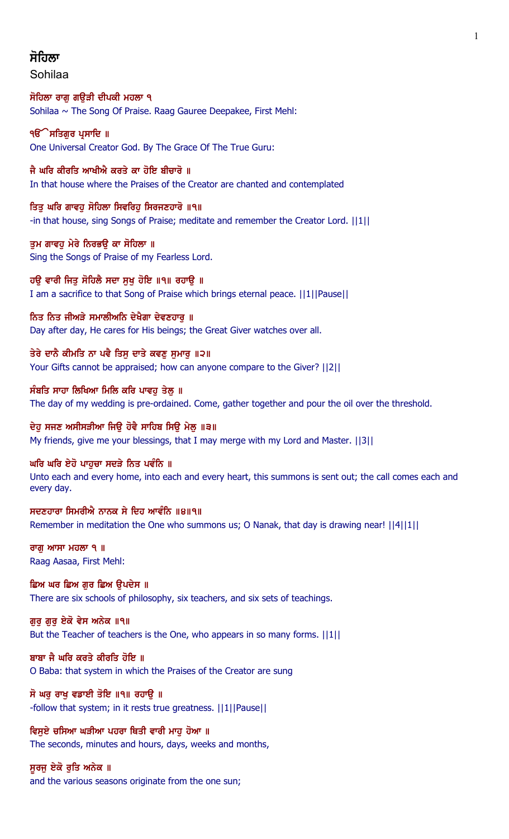# ਸੋਗਿਲਾ

Sohilaa

ਸੋਹਿਲਾ ਰਾਗ ਗੳੜੀ ਦੀਪਕੀ ਮਹਲਾ ੧ Sohilaa ~ The Song Of Praise. Raag Gauree Deepakee, First Mehl:

**ੴ ਸਤਿਗਰ ਪਸਾਦਿ** ॥ One Universal Creator God. By The Grace Of The True Guru:

ਜੈ ਘਰਿ ਕੀਰਤਿ ਆਖੀਐ ਕਰਤੇ ਕਾ ਹੋਇ ਬੀਚਾਰੋ ॥ In that house where the Praises of the Creator are chanted and contemplated

ਤਿਤੂ ਘਰਿ ਗਾਵਹੂ ਸੋਹਿਲਾ ਸਿਵਰਿਹੂ ਸਿਰਜਣਹਾਰੋ ॥੧॥ -in that house, sing Songs of Praise; meditate and remember the Creator Lord. ||1|| 1

ਤਮ ਗਾਵਹ ਮੇਰੇ ਨਿਰਭੳ ਕਾ ਸੋਹਿਲਾ ॥ Sing the Songs of Praise of my Fearless Lord.

ਹੳ ਵਾਰੀ ਜਿਤ ਸੋਹਿਲੈ ਸਦਾ ਸਖ ਹੋਇ ॥੧॥ ਰਹਾੳ ॥ I am a sacrifice to that Song of Praise which brings eternal peace. ||1||Pause||

ਨਿਤ ਨਿਤ ਜੀਅੜੇ ਸਮਾਲੀਅਨਿ ਦੇਖੈਗਾ ਦੇਵਣਹਾਰੂ ॥ Day after day, He cares for His beings; the Great Giver watches over all.

ਤੇਰੇ ਦਾਨੈ ਕੀਮਤਿ ਨਾ ਪਵੈ ਤਿਸੁ ਦਾਤੇ ਕਵਣੁ ਸੁਮਾਰੁ ॥੨॥ Your Gifts cannot be appraised; how can anyone compare to the Giver? ||2||

ਸੰਬਤਿ ਸਾਹਾ ਲਿਖਿਆ ਮਿਲਿ ਕਰਿ ਪਾਵਹ ਤੇਲ ॥ The day of my wedding is pre-ordained. Come, gather together and pour the oil over the threshold.

ਦੇਹੁ ਸਜਣ ਅਸੀਸੜੀਆ ਜਿਉ ਹੋਵੈ ਸਾਹਿਬ ਸਿਉ ਮੇਲੁ ॥੩॥ My friends, give me your blessings, that I may merge with my Lord and Master. ||3||

# ਘਰਿ ਘਰਿ ਏਹੋ ਪਾਹਚਾ ਸਦੜੇ ਨਿਤ ਪਵੰਨਿ ॥

Unto each and every home, into each and every heart, this summons is sent out; the call comes each and every day.

ਸਦਣਹਾਰਾ ਸਿਮਰੀਐ ਨਾਨਕ ਸੇ ਦਿਹ ਆਵੰਨਿ ॥੪॥੧॥ Remember in meditation the One who summons us; O Nanak, that day is drawing near! ||4||1||

## ਰਾਗ ਆਸਾ ਮਹਲਾ ੧  $\parallel$ Raag Aasaa, First Mehl:

ਛਿਅ ਘਰ ਛਿਅ ਗਰ ਛਿਅ ੳਪਦੇਸ ॥ There are six schools of philosophy, six teachers, and six sets of teachings.

# ਗੁਰੂ ਗੁਰੂ ਏਕੋ ਵੇਸ ਅਨੇਕ ॥੧॥

But the Teacher of teachers is the One, who appears in so many forms. ||1||

# ਬਾਬਾ ਜੈ ਘਰਿ ਕਰਤੇ ਕੀਰਤਿ ਹੋਇ ॥

O Baba: that system in which the Praises of the Creator are sung

# ਸੋ ਘਰੁ ਰਾਖੁ ਵਡਾਈ ਤੋਇ ॥੧॥ ਰਹਾਉ ॥

-follow that system; in it rests true greatness. ||1||Pause||

ਵਿਸੁਏ ਚਸਿਆ ਘੜੀਆ ਪਹਰਾ ਥਿਤੀ ਵਾਰੀ ਮਾਹੂ ਹੋਆ ॥ The seconds, minutes and hours, days, weeks and months,

# ਸੁਰਜੂ ਏਕੋ ਰੁਤਿ ਅਨੇਕ ॥

and the various seasons originate from the one sun;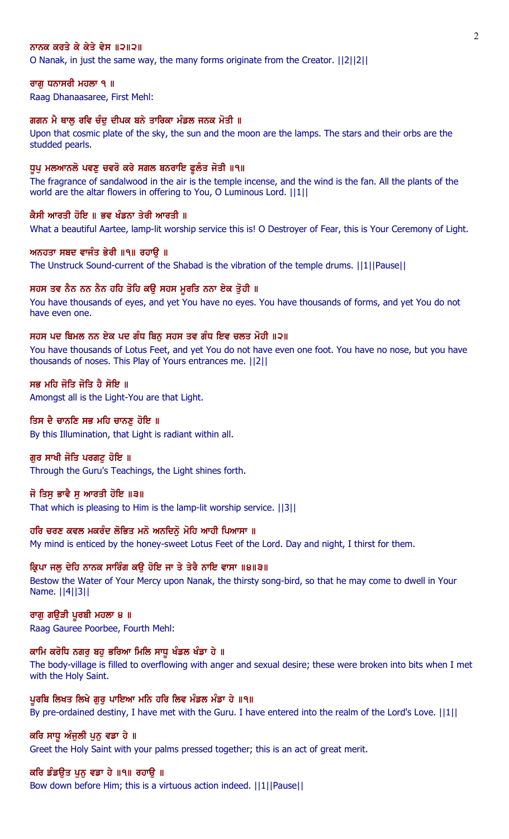#### ਨਾਨਕ ਕਰਤੇ ਕੇ ਕੇਤੇ ਵੇਸ ॥੨॥੨॥

O Nanak, in just the same way, the many forms originate from the Creator. ||2||2||

#### ਰਾਗੂ ਧਨਾਸਰੀ ਮਹਲਾ ੧ ॥

Raag Dhanaasaree, First Mehl:

#### ਗਗਨ ਮੈ ਥਾਲ ਰਵਿ ਚੰਦ ਦੀਪਕ ਬਨੇ ਤਾਰਿਕਾ ਮੰਡਲ ਜਨਕ ਮੋਤੀ ॥

Upon that cosmic plate of the sky, the sun and the moon are the lamps. The stars and their orbs are the studded pearls.

#### ਧੁਪੂ ਮਲਆਨਲੋ ਪਵਣੂ ਚਵਰੋ ਕਰੇ ਸਗਲ ਬਨਰਾਇ ਫੁਲੰਤ ਜੋਤੀ ॥੧॥

The fragrance of sandalwood in the air is the temple incense, and the wind is the fan. All the plants of the world are the altar flowers in offering to You, O Luminous Lord. ||1||

#### ਕੈਸੀ ਆਰਤੀ ਹੋਇ ॥ ਭਵ ਖੰਡਨਾ ਤੇਰੀ ਆਰਤੀ ॥

What a beautiful Aartee, lamp-lit worship service this is! O Destroyer of Fear, this is Your Ceremony of Light.

#### ਅਨਹਤਾ ਸਬਦ ਵਾਜੰਤ ਭੇਰੀ ॥੧॥ ਰਹਾਉ ॥

The Unstruck Sound-current of the Shabad is the vibration of the temple drums. ||1||Pause||

### ਸਹਸ ਤਵ ਨੈਨ ਨਨ ਨੈਨ ਹਹਿ ਤੋਹਿ ਕਉ ਸਹਸ ਮੁਰਤਿ ਨਨਾ ਏਕ ਤੁੋਹੀ ॥

You have thousands of eyes, and yet You have no eyes. You have thousands of forms, and yet You do not have even one.

#### ਸਹਸ ਪਦ ਬਿਮਲ ਨਨ ਏਕ ਪਦ ਗੰਧ ਬਿਨੂ ਸਹਸ ਤਵ ਗੰਧ ਇਵ ਚਲਤ ਮੋਹੀ ॥੨॥

You have thousands of Lotus Feet, and yet You do not have even one foot. You have no nose, but you have thousands of noses. This Play of Yours entrances me. ||2||

ਸਭ ਮਹਿ ਜੋਤਿ ਜੋਤਿ ਹੈ ਸੋਇ ॥ Amongst all is the Light-You are that Light.

#### ਤਿਸ ਦੈ ਚਾਨਣਿ ਸਭ ਮਹਿ ਚਾਨਣੁ ਹੋਇ ॥

By this Illumination, that Light is radiant within all.

## ਗੁਰ ਸਾਖੀ ਜੋਤਿ ਪਰਗਟ਼ ਹੋਇ ॥

Through the Guru's Teachings, the Light shines forth.

#### ਜੋ ਤਿਸ ਭਾਵੈ ਸ ਆਰਤੀ ਹੋਇ ॥੩॥

That which is pleasing to Him is the lamp-lit worship service. ||3||

#### ਹਰਿ ਚਰਣ ਕਵਲ ਮਕਰੰਦ ਲੋਭਿਤ ਮਨੋ ਅਨਦਿਨੋਂ ਮੋਹਿ ਆਹੀ ਪਿਆਸਾ ॥

My mind is enticed by the honey-sweet Lotus Feet of the Lord. Day and night, I thirst for them.

#### ਕ੍ਰਿਪਾ ਜਲੂ ਦੇਹਿ ਨਾਨਕ ਸਾਰਿੰਗ ਕਉ ਹੋਇ ਜਾ ਤੇ ਤੇਰੈ ਨਾਇ ਵਾਸਾ ॥੪॥੩॥

Bestow the Water of Your Mercy upon Nanak, the thirsty song-bird, so that he may come to dwell in Your Name. ||4||3||

#### ਰਾਗੁ ਗਉੜੀ ਪੁਰਬੀ ਮਹਲਾ ੪ ॥

Raag Gauree Poorbee, Fourth Mehl:

#### ਕਾਮਿ ਕਰੋਧਿ ਨਗਰ ਬਹ ਭਰਿਆ ਮਿਲਿ ਸਾਧ ਖੰਡਲ ਖੰਡਾ ਹੇ ॥

The body-village is filled to overflowing with anger and sexual desire; these were broken into bits when I met with the Holy Saint.

#### ਪੁਰਬਿ ਲਿਖਤ ਲਿਖੇ ਗੁਰੂ ਪਾਇਆ ਮਨਿ ਹਰਿ ਲਿਵ ਮੰਡਲ ਮੰਡਾ ਹੇ ॥੧॥

By pre-ordained destiny, I have met with the Guru. I have entered into the realm of the Lord's Love. ||1||

#### ਕਰਿ ਸਾਧੂ ਅੰਜੂਲੀ ਪੂਨੂ ਵਡਾ ਹੇ ॥

Greet the Holy Saint with your palms pressed together; this is an act of great merit.

#### ਕਰਿ ਡੰਡਉਤ ਪੁਨੁ ਵਡਾ ਹੇ ॥੧॥ ਰਹਾਉ ॥

Bow down before Him; this is a virtuous action indeed. ||1||Pause||